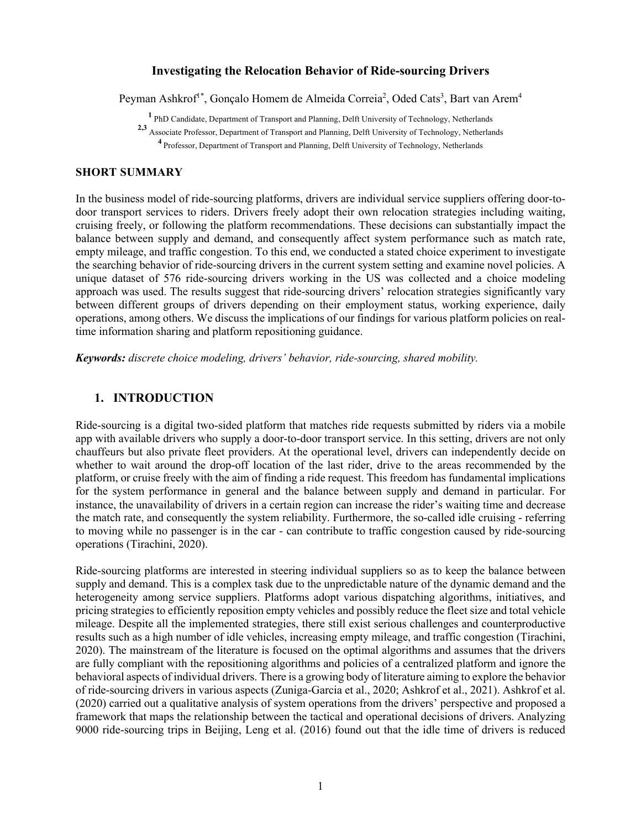### **Investigating the Relocation Behavior of Ride-sourcing Drivers**

Peyman Ashkrof<sup>1\*</sup>, Gonçalo Homem de Almeida Correia<sup>2</sup>, Oded Cats<sup>3</sup>, Bart van Arem<sup>4</sup>

**<sup>1</sup>** PhD Candidate, Department of Transport and Planning, Delft University of Technology, Netherlands

**2,3** Associate Professor, Department of Transport and Planning, Delft University of Technology, Netherlands

**<sup>4</sup>** Professor, Department of Transport and Planning, Delft University of Technology, Netherlands

#### **SHORT SUMMARY**

In the business model of ride-sourcing platforms, drivers are individual service suppliers offering door-todoor transport services to riders. Drivers freely adopt their own relocation strategies including waiting, cruising freely, or following the platform recommendations. These decisions can substantially impact the balance between supply and demand, and consequently affect system performance such as match rate, empty mileage, and traffic congestion. To this end, we conducted a stated choice experiment to investigate the searching behavior of ride-sourcing drivers in the current system setting and examine novel policies. A unique dataset of 576 ride-sourcing drivers working in the US was collected and a choice modeling approach was used. The results suggest that ride-sourcing drivers' relocation strategies significantly vary between different groups of drivers depending on their employment status, working experience, daily operations, among others. We discuss the implications of our findings for various platform policies on realtime information sharing and platform repositioning guidance.

*Keywords: discrete choice modeling, drivers' behavior, ride-sourcing, shared mobility.*

# **1. INTRODUCTION**

Ride-sourcing is a digital two-sided platform that matches ride requests submitted by riders via a mobile app with available drivers who supply a door-to-door transport service. In this setting, drivers are not only chauffeurs but also private fleet providers. At the operational level, drivers can independently decide on whether to wait around the drop-off location of the last rider, drive to the areas recommended by the platform, or cruise freely with the aim of finding a ride request. This freedom has fundamental implications for the system performance in general and the balance between supply and demand in particular. For instance, the unavailability of drivers in a certain region can increase the rider's waiting time and decrease the match rate, and consequently the system reliability. Furthermore, the so-called idle cruising - referring to moving while no passenger is in the car - can contribute to traffic congestion caused by ride-sourcing operations (Tirachini, 2020).

Ride-sourcing platforms are interested in steering individual suppliers so as to keep the balance between supply and demand. This is a complex task due to the unpredictable nature of the dynamic demand and the heterogeneity among service suppliers. Platforms adopt various dispatching algorithms, initiatives, and pricing strategies to efficiently reposition empty vehicles and possibly reduce the fleet size and total vehicle mileage. Despite all the implemented strategies, there still exist serious challenges and counterproductive results such as a high number of idle vehicles, increasing empty mileage, and traffic congestion (Tirachini, 2020). The mainstream of the literature is focused on the optimal algorithms and assumes that the drivers are fully compliant with the repositioning algorithms and policies of a centralized platform and ignore the behavioral aspects of individual drivers. There is a growing body of literature aiming to explore the behavior of ride-sourcing drivers in various aspects (Zuniga-Garcia et al., 2020; Ashkrof et al., 2021). Ashkrof et al. (2020) carried out a qualitative analysis of system operations from the drivers' perspective and proposed a framework that maps the relationship between the tactical and operational decisions of drivers. Analyzing 9000 ride-sourcing trips in Beijing, Leng et al. (2016) found out that the idle time of drivers is reduced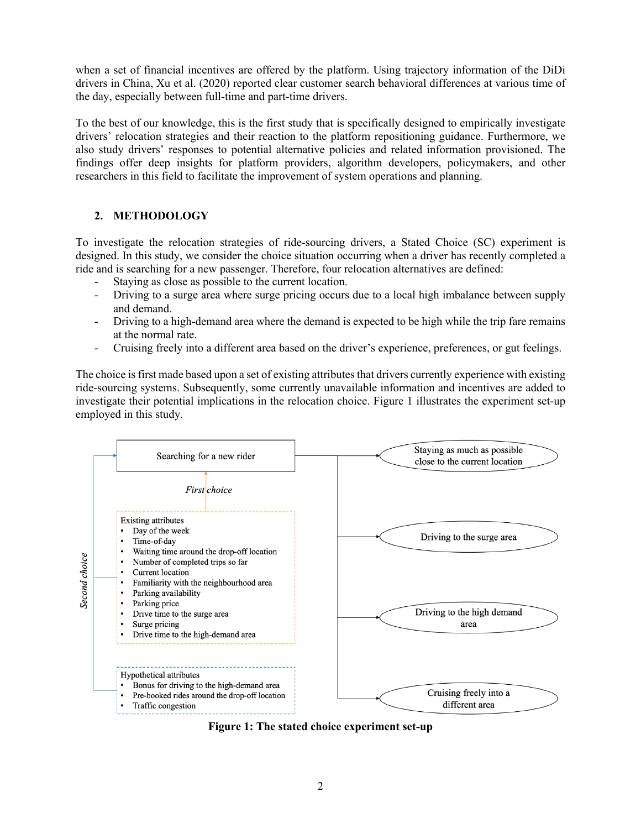when a set of financial incentives are offered by the platform. Using trajectory information of the DiDi drivers in China, Xu et al. (2020) reported clear customer search behavioral differences at various time of the day, especially between full-time and part-time drivers.

To the best of our knowledge, this is the first study that is specifically designed to empirically investigate drivers' relocation strategies and their reaction to the platform repositioning guidance. Furthermore, we also study drivers' responses to potential alternative policies and related information provisioned. The findings offer deep insights for platform providers, algorithm developers, policymakers, and other researchers in this field to facilitate the improvement of system operations and planning.

# **2. METHODOLOGY**

To investigate the relocation strategies of ride-sourcing drivers, a Stated Choice (SC) experiment is designed. In this study, we consider the choice situation occurring when a driver has recently completed a ride and is searching for a new passenger. Therefore, four relocation alternatives are defined:

- Staying as close as possible to the current location.
- Driving to a surge area where surge pricing occurs due to a local high imbalance between supply and demand.
- Driving to a high-demand area where the demand is expected to be high while the trip fare remains at the normal rate.
- Cruising freely into a different area based on the driver's experience, preferences, or gut feelings.

The choice is first made based upon a set of existing attributes that drivers currently experience with existing ride-sourcing systems. Subsequently, some currently unavailable information and incentives are added to investigate their potential implications in the relocation choice. Figure 1 illustrates the experiment set-up employed in this study.



**Figure 1: The stated choice experiment set-up**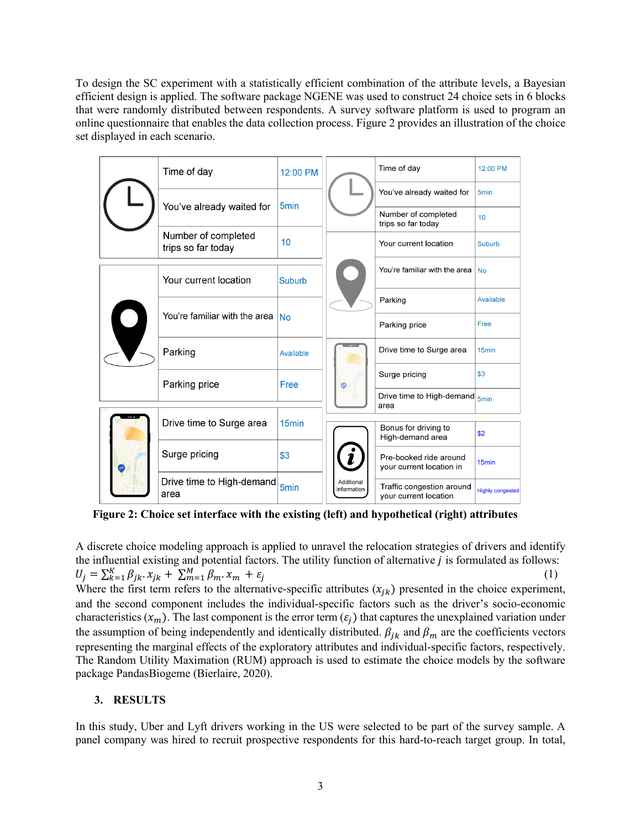To design the SC experiment with a statistically efficient combination of the attribute levels, a Bayesian efficient design is applied. The software package NGENE was used to construct 24 choice sets in 6 blocks that were randomly distributed between respondents. A survey software platform is used to program an online questionnaire that enables the data collection process. Figure 2 provides an illustration of the choice set displayed in each scenario.

|  |  | Time of day                               | 12:00 PM          |                           | Time of day                                        | 12:00 PM                |
|--|--|-------------------------------------------|-------------------|---------------------------|----------------------------------------------------|-------------------------|
|  |  | You've already waited for                 | 5 <sub>min</sub>  |                           | You've already waited for                          | 5 <sub>min</sub>        |
|  |  |                                           |                   |                           | Number of completed<br>trips so far today          | 10                      |
|  |  | Number of completed<br>trips so far today | 10                |                           | Your current location                              | Suburb                  |
|  |  | Your current location                     | Suburb            |                           | You're familiar with the area                      | <b>No</b>               |
|  |  | You're familiar with the area             | <b>No</b>         |                           | Parking                                            | Available               |
|  |  |                                           |                   |                           | Parking price                                      | Free                    |
|  |  | Parking                                   | Available         |                           | Drive time to Surge area                           | 15 <sub>min</sub>       |
|  |  | Parking price                             | Free              |                           | Surge pricing                                      | \$3                     |
|  |  |                                           |                   |                           | Drive time to High-demand <sub>5min</sub><br>area  |                         |
|  |  | Drive time to Surge area                  | 15 <sub>min</sub> | Additional<br>information | Bonus for driving to<br>High-demand area           | \$2                     |
|  |  | Surge pricing                             | \$3               |                           | Pre-booked ride around<br>your current location in | 15 <sub>min</sub>       |
|  |  | Drive time to High-demand<br>area         | 5min              |                           | Traffic congestion around<br>your current location | <b>Highly congested</b> |
|  |  |                                           |                   |                           |                                                    |                         |

**Figure 2: Choice set interface with the existing (left) and hypothetical (right) attributes**

A discrete choice modeling approach is applied to unravel the relocation strategies of drivers and identify the influential existing and potential factors. The utility function of alternative  $j$  is formulated as follows:  $U_j = \sum_{k=1}^{K} \beta_{jk} x_{jk} + \sum_{m=1}^{M} \beta_m x_m + \varepsilon_j$  (1)

Where the first term refers to the alternative-specific attributes  $(x_{jk})$  presented in the choice experiment, and the second component includes the individual-specific factors such as the driver's socio-economic characteristics  $(x_m)$ . The last component is the error term  $(\varepsilon_i)$  that captures the unexplained variation under the assumption of being independently and identically distributed.  $\beta_{jk}$  and  $\beta_m$  are the coefficients vectors representing the marginal effects of the exploratory attributes and individual-specific factors, respectively. The Random Utility Maximation (RUM) approach is used to estimate the choice models by the software package PandasBiogeme (Bierlaire, 2020).

### **3. RESULTS**

In this study, Uber and Lyft drivers working in the US were selected to be part of the survey sample. A panel company was hired to recruit prospective respondents for this hard-to-reach target group. In total,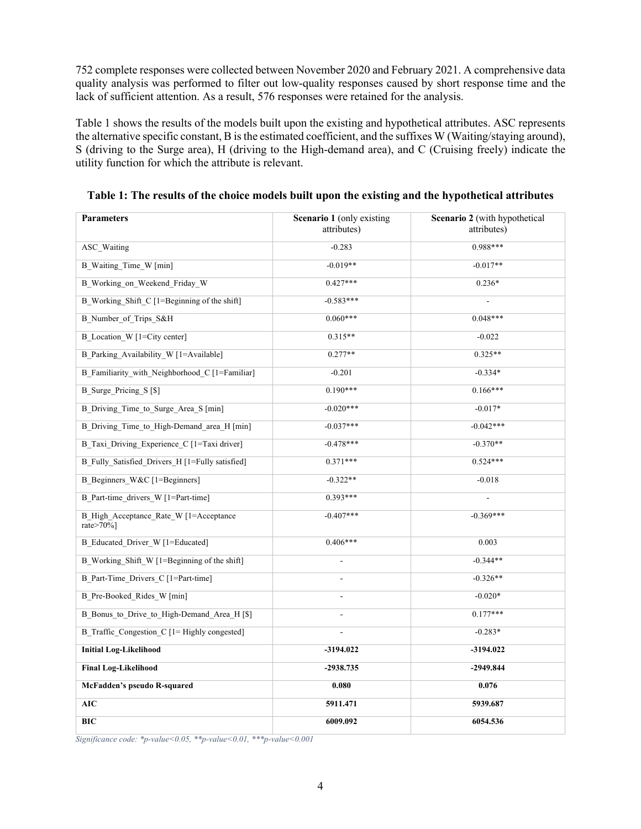752 complete responses were collected between November 2020 and February 2021. A comprehensive data quality analysis was performed to filter out low-quality responses caused by short response time and the lack of sufficient attention. As a result, 576 responses were retained for the analysis.

Table 1 shows the results of the models built upon the existing and hypothetical attributes. ASC represents the alternative specific constant, B is the estimated coefficient, and the suffixes W (Waiting/staying around), S (driving to the Surge area), H (driving to the High-demand area), and C (Cruising freely) indicate the utility function for which the attribute is relevant.

| <b>Parameters</b>                                   | Scenario 1 (only existing<br>attributes) | Scenario 2 (with hypothetical<br>attributes) |  |
|-----------------------------------------------------|------------------------------------------|----------------------------------------------|--|
| <b>ASC</b> Waiting                                  | $-0.283$                                 | $0.988***$                                   |  |
| <b>B_Waiting_Time_W</b> [min]                       | $-0.019**$                               | $-0.017**$                                   |  |
| B Working on Weekend Friday W                       | $0.427***$                               | $0.236*$                                     |  |
| B Working Shift C [1=Beginning of the shift]        | $-0.583***$                              |                                              |  |
| B_Number_of_Trips_S&H                               | $0.060***$                               | $0.048***$                                   |  |
| B_Location_W [1=City center]                        | $0.315**$                                | $-0.022$                                     |  |
| B_Parking_Availability_W [1=Available]              | $0.277**$                                | $0.325**$                                    |  |
| B Familiarity with Neighborhood C [1=Familiar]      | $-0.201$                                 | $-0.334*$                                    |  |
| B Surge Pricing S [\$]                              | $0.190***$                               | $0.166***$                                   |  |
| B Driving Time to Surge Area S [min]                | $-0.020***$                              | $-0.017*$                                    |  |
| B Driving Time to High-Demand area H [min]          | $-0.037***$                              | $-0.042***$                                  |  |
| B Taxi Driving Experience C [1=Taxi driver]         | $-0.478***$                              | $-0.370**$                                   |  |
| B Fully Satisfied Drivers H [1=Fully satisfied]     | $0.371***$                               | $0.524***$                                   |  |
| B Beginners W&C [1=Beginners]                       | $-0.322**$                               | $-0.018$                                     |  |
| B Part-time drivers W [1=Part-time]                 | $0.393***$                               |                                              |  |
| B High Acceptance Rate W [1=Acceptance<br>rate>70%] | $-0.407***$                              | $-0.369***$                                  |  |
| B Educated Driver W [1=Educated]                    | $0.406***$                               | 0.003                                        |  |
| B Working Shift W [1=Beginning of the shift]        |                                          | $-0.344**$                                   |  |
| B Part-Time Drivers C [1=Part-time]                 |                                          | $-0.326**$                                   |  |
| B Pre-Booked Rides W [min]                          |                                          | $-0.020*$                                    |  |
| B Bonus to Drive to High-Demand Area H [\$]         |                                          | $0.177***$                                   |  |
| B Traffic Congestion C [1= Highly congested]        |                                          | $-0.283*$                                    |  |
| <b>Initial Log-Likelihood</b>                       | $-3194.022$                              | $-3194.022$                                  |  |
| <b>Final Log-Likelihood</b>                         | $-2938.735$                              | $-2949.844$                                  |  |
| McFadden's pseudo R-squared                         | 0.080                                    | 0.076                                        |  |
| <b>AIC</b>                                          | 5911.471                                 | 5939.687                                     |  |
| <b>BIC</b>                                          | 6009.092                                 | 6054.536                                     |  |

**Table 1: The results of the choice models built upon the existing and the hypothetical attributes**

*Significance code: \*p-value<0.05, \*\*p-value<0.01, \*\*\*p-value<0.001*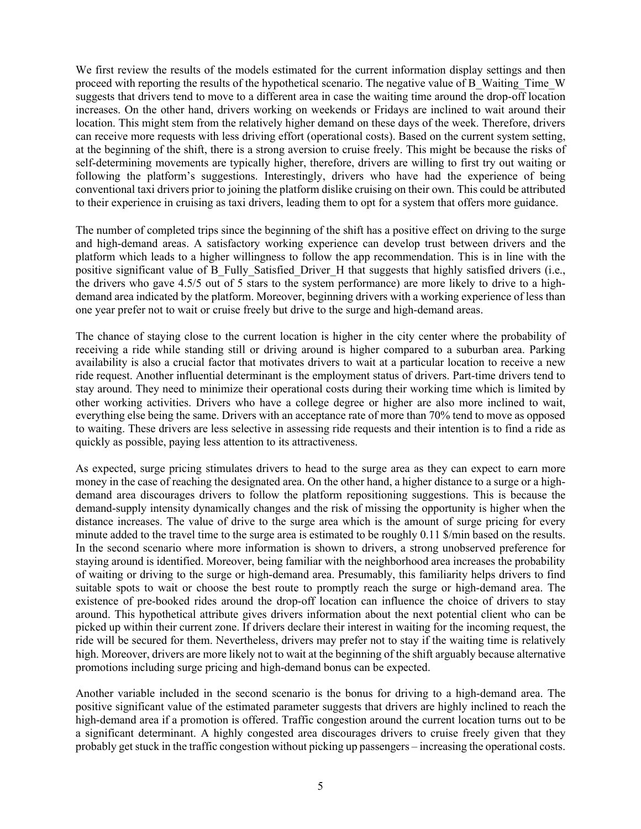We first review the results of the models estimated for the current information display settings and then proceed with reporting the results of the hypothetical scenario. The negative value of B\_Waiting\_Time\_W suggests that drivers tend to move to a different area in case the waiting time around the drop-off location increases. On the other hand, drivers working on weekends or Fridays are inclined to wait around their location. This might stem from the relatively higher demand on these days of the week. Therefore, drivers can receive more requests with less driving effort (operational costs). Based on the current system setting, at the beginning of the shift, there is a strong aversion to cruise freely. This might be because the risks of self-determining movements are typically higher, therefore, drivers are willing to first try out waiting or following the platform's suggestions. Interestingly, drivers who have had the experience of being conventional taxi drivers prior to joining the platform dislike cruising on their own. This could be attributed to their experience in cruising as taxi drivers, leading them to opt for a system that offers more guidance.

The number of completed trips since the beginning of the shift has a positive effect on driving to the surge and high-demand areas. A satisfactory working experience can develop trust between drivers and the platform which leads to a higher willingness to follow the app recommendation. This is in line with the positive significant value of B\_Fully\_Satisfied\_Driver\_H that suggests that highly satisfied drivers (i.e., the drivers who gave 4.5/5 out of 5 stars to the system performance) are more likely to drive to a highdemand area indicated by the platform. Moreover, beginning drivers with a working experience of less than one year prefer not to wait or cruise freely but drive to the surge and high-demand areas.

The chance of staying close to the current location is higher in the city center where the probability of receiving a ride while standing still or driving around is higher compared to a suburban area. Parking availability is also a crucial factor that motivates drivers to wait at a particular location to receive a new ride request. Another influential determinant is the employment status of drivers. Part-time drivers tend to stay around. They need to minimize their operational costs during their working time which is limited by other working activities. Drivers who have a college degree or higher are also more inclined to wait, everything else being the same. Drivers with an acceptance rate of more than 70% tend to move as opposed to waiting. These drivers are less selective in assessing ride requests and their intention is to find a ride as quickly as possible, paying less attention to its attractiveness.

As expected, surge pricing stimulates drivers to head to the surge area as they can expect to earn more money in the case of reaching the designated area. On the other hand, a higher distance to a surge or a highdemand area discourages drivers to follow the platform repositioning suggestions. This is because the demand-supply intensity dynamically changes and the risk of missing the opportunity is higher when the distance increases. The value of drive to the surge area which is the amount of surge pricing for every minute added to the travel time to the surge area is estimated to be roughly 0.11 \$/min based on the results. In the second scenario where more information is shown to drivers, a strong unobserved preference for staying around is identified. Moreover, being familiar with the neighborhood area increases the probability of waiting or driving to the surge or high-demand area. Presumably, this familiarity helps drivers to find suitable spots to wait or choose the best route to promptly reach the surge or high-demand area. The existence of pre-booked rides around the drop-off location can influence the choice of drivers to stay around. This hypothetical attribute gives drivers information about the next potential client who can be picked up within their current zone. If drivers declare their interest in waiting for the incoming request, the ride will be secured for them. Nevertheless, drivers may prefer not to stay if the waiting time is relatively high. Moreover, drivers are more likely not to wait at the beginning of the shift arguably because alternative promotions including surge pricing and high-demand bonus can be expected.

Another variable included in the second scenario is the bonus for driving to a high-demand area. The positive significant value of the estimated parameter suggests that drivers are highly inclined to reach the high-demand area if a promotion is offered. Traffic congestion around the current location turns out to be a significant determinant. A highly congested area discourages drivers to cruise freely given that they probably get stuck in the traffic congestion without picking up passengers – increasing the operational costs.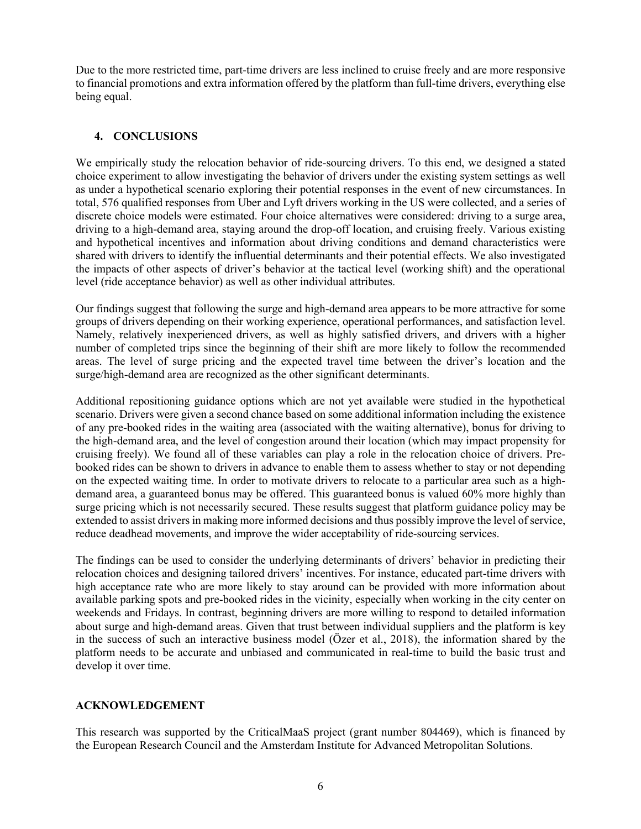Due to the more restricted time, part-time drivers are less inclined to cruise freely and are more responsive to financial promotions and extra information offered by the platform than full-time drivers, everything else being equal.

### **4. CONCLUSIONS**

We empirically study the relocation behavior of ride-sourcing drivers. To this end, we designed a stated choice experiment to allow investigating the behavior of drivers under the existing system settings as well as under a hypothetical scenario exploring their potential responses in the event of new circumstances. In total, 576 qualified responses from Uber and Lyft drivers working in the US were collected, and a series of discrete choice models were estimated. Four choice alternatives were considered: driving to a surge area, driving to a high-demand area, staying around the drop-off location, and cruising freely. Various existing and hypothetical incentives and information about driving conditions and demand characteristics were shared with drivers to identify the influential determinants and their potential effects. We also investigated the impacts of other aspects of driver's behavior at the tactical level (working shift) and the operational level (ride acceptance behavior) as well as other individual attributes.

Our findings suggest that following the surge and high-demand area appears to be more attractive for some groups of drivers depending on their working experience, operational performances, and satisfaction level. Namely, relatively inexperienced drivers, as well as highly satisfied drivers, and drivers with a higher number of completed trips since the beginning of their shift are more likely to follow the recommended areas. The level of surge pricing and the expected travel time between the driver's location and the surge/high-demand area are recognized as the other significant determinants.

Additional repositioning guidance options which are not yet available were studied in the hypothetical scenario. Drivers were given a second chance based on some additional information including the existence of any pre-booked rides in the waiting area (associated with the waiting alternative), bonus for driving to the high-demand area, and the level of congestion around their location (which may impact propensity for cruising freely). We found all of these variables can play a role in the relocation choice of drivers. Prebooked rides can be shown to drivers in advance to enable them to assess whether to stay or not depending on the expected waiting time. In order to motivate drivers to relocate to a particular area such as a highdemand area, a guaranteed bonus may be offered. This guaranteed bonus is valued 60% more highly than surge pricing which is not necessarily secured. These results suggest that platform guidance policy may be extended to assist drivers in making more informed decisions and thus possibly improve the level of service, reduce deadhead movements, and improve the wider acceptability of ride-sourcing services.

The findings can be used to consider the underlying determinants of drivers' behavior in predicting their relocation choices and designing tailored drivers' incentives. For instance, educated part-time drivers with high acceptance rate who are more likely to stay around can be provided with more information about available parking spots and pre-booked rides in the vicinity, especially when working in the city center on weekends and Fridays. In contrast, beginning drivers are more willing to respond to detailed information about surge and high-demand areas. Given that trust between individual suppliers and the platform is key in the success of such an interactive business model (Özer et al., 2018), the information shared by the platform needs to be accurate and unbiased and communicated in real-time to build the basic trust and develop it over time.

# **ACKNOWLEDGEMENT**

This research was supported by the CriticalMaaS project (grant number 804469), which is financed by the European Research Council and the Amsterdam Institute for Advanced Metropolitan Solutions.